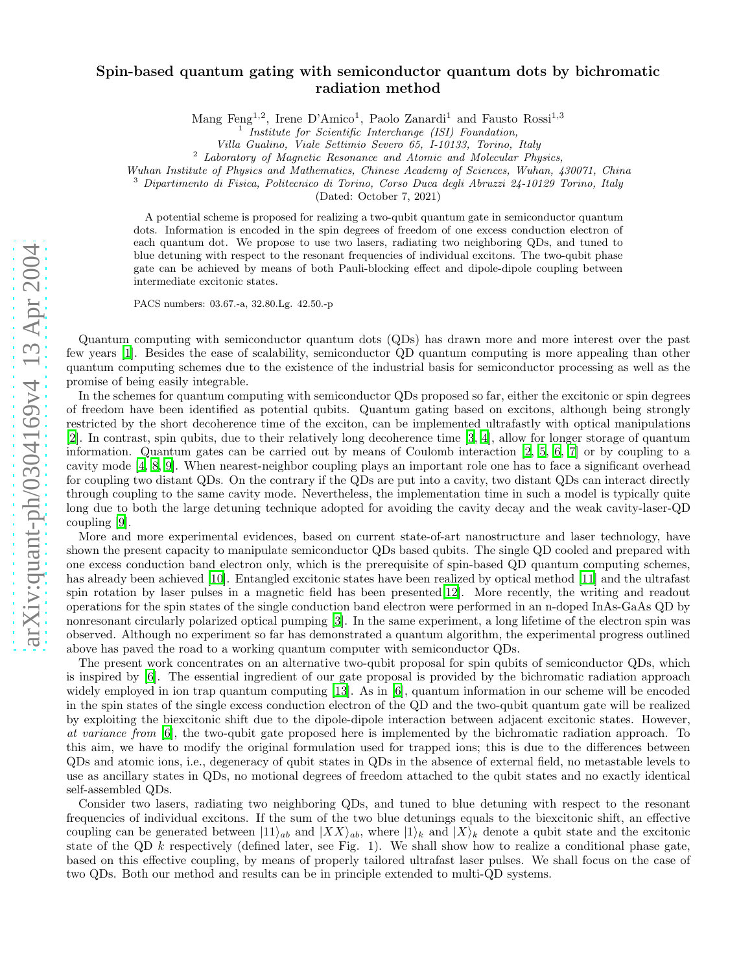## Spin-based quantum gating with semiconductor quantum dots by bichromatic radiation method

Mang Feng<sup>1,2</sup>, Irene D'Amico<sup>1</sup>, Paolo Zanardi<sup>1</sup> and Fausto Rossi<sup>1,3</sup>

1 Institute for Scientific Interchange (ISI) Foundation,

Villa Gualino, Viale Settimio Severo 65, I-10133, Torino, Italy

<sup>2</sup> Laboratory of Magnetic Resonance and Atomic and Molecular Physics,<br>Wuhan Institute of Physics and Mathematics, Chinese Academy of Sciences, Wuhan, 430071, China

 $3$  Dipartimento di Fisica, Politecnico di Torino, Corso Duca degli Abruzzi 24-10129 Torino, Italy

(Dated: October 7, 2021)

A potential scheme is proposed for realizing a two-qubit quantum gate in semiconductor quantum dots. Information is encoded in the spin degrees of freedom of one excess conduction electron of each quantum dot. We propose to use two lasers, radiating two neighboring QDs, and tuned to blue detuning with respect to the resonant frequencies of individual excitons. The two-qubit phase gate can be achieved by means of both Pauli-blocking effect and dipole-dipole coupling between intermediate excitonic states.

PACS numbers: 03.67.-a, 32.80.Lg. 42.50.-p

Quantum computing with semiconductor quantum dots (QDs) has drawn more and more interest over the past few years [\[1\]](#page-3-0). Besides the ease of scalability, semiconductor QD quantum computing is more appealing than other quantum computing schemes due to the existence of the industrial basis for semiconductor processing as well as the promise of being easily integrable.

In the schemes for quantum computing with semiconductor QDs proposed so far, either the excitonic or spin degrees of freedom have been identified as potential qubits. Quantum gating based on excitons, although being strongly restricted by the short decoherence time of the exciton, can be implemented ultrafastly with optical manipulations [\[2\]](#page-3-1). In contrast, spin qubits, due to their relatively long decoherence time [\[3](#page-3-2), [4](#page-3-3)], allow for longer storage of quantum information. Quantum gates can be carried out by means of Coulomb interaction [\[2](#page-3-1), [5,](#page-3-4) [6,](#page-3-5) [7\]](#page-3-6) or by coupling to a cavity mode [\[4,](#page-3-3) [8,](#page-3-7) [9\]](#page-3-8). When nearest-neighbor coupling plays an important role one has to face a significant overhead for coupling two distant QDs. On the contrary if the QDs are put into a cavity, two distant QDs can interact directly through coupling to the same cavity mode. Nevertheless, the implementation time in such a model is typically quite long due to both the large detuning technique adopted for avoiding the cavity decay and the weak cavity-laser-QD coupling [\[9\]](#page-3-8).

More and more experimental evidences, based on current state-of-art nanostructure and laser technology, have shown the present capacity to manipulate semiconductor QDs based qubits. The single QD cooled and prepared with one excess conduction band electron only, which is the prerequisite of spin-based QD quantum computing schemes, has already been achieved [\[10\]](#page-3-9). Entangled excitonic states have been realized by optical method [\[11\]](#page-3-10) and the ultrafast spin rotation by laser pulses in a magnetic field has been presented[\[12\]](#page-3-11). More recently, the writing and readout operations for the spin states of the single conduction band electron were performed in an n-doped InAs-GaAs QD by nonresonant circularly polarized optical pumping [\[3\]](#page-3-2). In the same experiment, a long lifetime of the electron spin was observed. Although no experiment so far has demonstrated a quantum algorithm, the experimental progress outlined above has paved the road to a working quantum computer with semiconductor QDs.

The present work concentrates on an alternative two-qubit proposal for spin qubits of semiconductor QDs, which is inspired by [\[6](#page-3-5)]. The essential ingredient of our gate proposal is provided by the bichromatic radiation approach widely employed in ion trap quantum computing [\[13\]](#page-3-12). As in [\[6\]](#page-3-5), quantum information in our scheme will be encoded in the spin states of the single excess conduction electron of the QD and the two-qubit quantum gate will be realized by exploiting the biexcitonic shift due to the dipole-dipole interaction between adjacent excitonic states. However, at variance from [\[6\]](#page-3-5), the two-qubit gate proposed here is implemented by the bichromatic radiation approach. To this aim, we have to modify the original formulation used for trapped ions; this is due to the differences between QDs and atomic ions, i.e., degeneracy of qubit states in QDs in the absence of external field, no metastable levels to use as ancillary states in QDs, no motional degrees of freedom attached to the qubit states and no exactly identical self-assembled QDs.

Consider two lasers, radiating two neighboring QDs, and tuned to blue detuning with respect to the resonant frequencies of individual excitons. If the sum of the two blue detunings equals to the biexcitonic shift, an effective coupling can be generated between  $|11\rangle_{ab}$  and  $|XX\rangle_{ab}$ , where  $|1\rangle_k$  and  $|X\rangle_k$  denote a qubit state and the excitonic state of the QD  $k$  respectively (defined later, see Fig. 1). We shall show how to realize a conditional phase gate, based on this effective coupling, by means of properly tailored ultrafast laser pulses. We shall focus on the case of two QDs. Both our method and results can be in principle extended to multi-QD systems.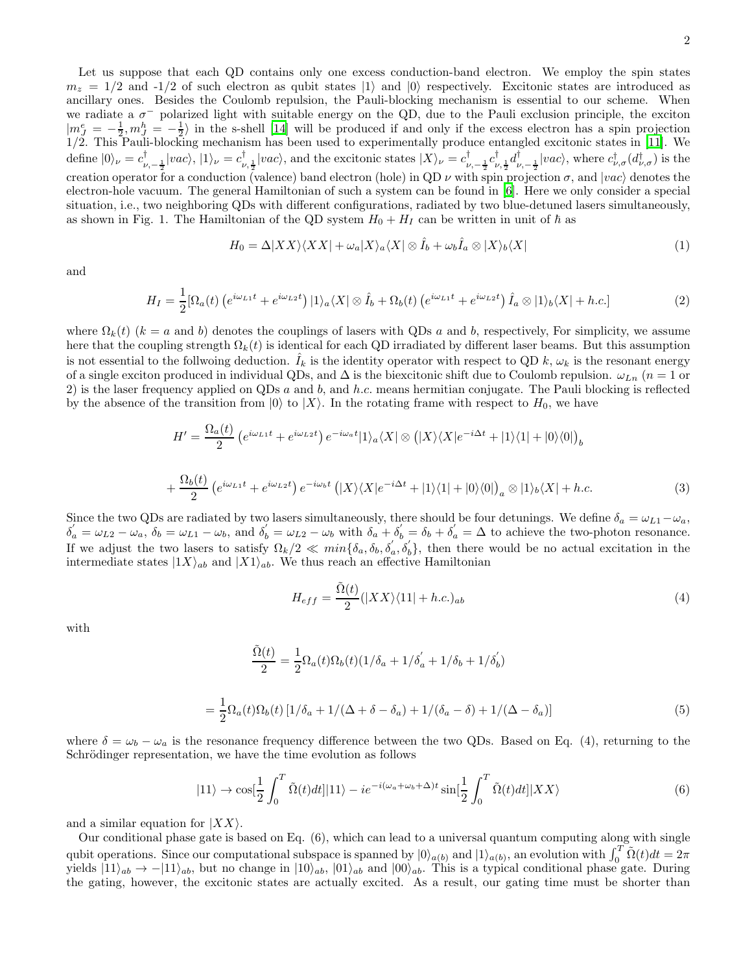Let us suppose that each QD contains only one excess conduction-band electron. We employ the spin states  $m_z = 1/2$  and  $-1/2$  of such electron as qubit states  $|1\rangle$  and  $|0\rangle$  respectively. Excitonic states are introduced as ancillary ones. Besides the Coulomb repulsion, the Pauli-blocking mechanism is essential to our scheme. When we radiate a  $\sigma^-$  polarized light with suitable energy on the QD, due to the Pauli exclusion principle, the exciton  $|m_j^e = -\frac{1}{2}, m_j^h = -\frac{1}{2}$  in the s-shell [\[14\]](#page-3-13) will be produced if and only if the excess electron has a spin projection  $1/2$ . This Pauli-blocking mechanism has been used to experimentally produce entangled excitonic states in [\[11](#page-3-10)]. We define  $|0\rangle_{\nu} = c^{\dagger}_{\nu,-\frac{1}{2}}|vac\rangle$ ,  $|1\rangle_{\nu} = c^{\dagger}_{\nu,\frac{1}{2}}|vac\rangle$ , and the excitonic states  $|X\rangle_{\nu} = c^{\dagger}_{\nu,-\frac{1}{2}}c^{\dagger}_{\nu,\frac{1}{2}}d^{\dagger}_{\nu,-\frac{1}{2}}|vac\rangle$ , where  $c^{\dagger}_{\nu,\sigma}(d^{\dagger}_{\nu,\sigma})$  is the creation operator for a conduction (valence) band electron (hole) in QD  $\nu$  with spin projection  $\sigma$ , and  $|vac\rangle$  denotes the electron-hole vacuum. The general Hamiltonian of such a system can be found in [\[6](#page-3-5)]. Here we only consider a special situation, i.e., two neighboring QDs with different configurations, radiated by two blue-detuned lasers simultaneously, as shown in Fig. 1. The Hamiltonian of the QD system  $H_0 + H_I$  can be written in unit of  $\hbar$  as

$$
H_0 = \Delta |XX\rangle \langle XX| + \omega_a |X\rangle_a \langle X| \otimes \hat{I}_b + \omega_b \hat{I}_a \otimes |X\rangle_b \langle X| \tag{1}
$$

and

$$
H_I = \frac{1}{2} [\Omega_a(t) \left( e^{i\omega_{L1}t} + e^{i\omega_{L2}t} \right) |1\rangle_a \langle X| \otimes \hat{I}_b + \Omega_b(t) \left( e^{i\omega_{L1}t} + e^{i\omega_{L2}t} \right) \hat{I}_a \otimes |1\rangle_b \langle X| + h.c. ] \tag{2}
$$

where  $\Omega_k(t)$  ( $k = a$  and b) denotes the couplings of lasers with QDs a and b, respectively, For simplicity, we assume here that the coupling strength  $\Omega_k(t)$  is identical for each QD irradiated by different laser beams. But this assumption is not essential to the follwoing deduction.  $I_k$  is the identity operator with respect to QD k,  $\omega_k$  is the resonant energy of a single exciton produced in individual QDs, and  $\Delta$  is the biexcitonic shift due to Coulomb repulsion.  $\omega_{Ln}$  ( $n = 1$  or 2) is the laser frequency applied on QDs  $a$  and  $b$ , and  $h.c$  means hermitian conjugate. The Pauli blocking is reflected by the absence of the transition from  $|0\rangle$  to  $|X\rangle$ . In the rotating frame with respect to  $H_0$ , we have

$$
H' = \frac{\Omega_a(t)}{2} \left( e^{i\omega_{L1}t} + e^{i\omega_{L2}t} \right) e^{-i\omega_a t} |1\rangle_a \langle X| \otimes (|X\rangle\langle X|e^{-i\Delta t} + |1\rangle\langle 1| + |0\rangle\langle 0|) \Big)_{b}
$$
  
+ 
$$
\frac{\Omega_b(t)}{2} \left( e^{i\omega_{L1}t} + e^{i\omega_{L2}t} \right) e^{-i\omega_b t} \left( |X\rangle\langle X|e^{-i\Delta t} + |1\rangle\langle 1| + |0\rangle\langle 0| \right)_a \otimes |1\rangle_b \langle X| + h.c.
$$
 (3)

Since the two QDs are radiated by two lasers simultaneously, there should be four detunings. We define  $\delta_a = \omega_{L1}-\omega_a$ ,  $\delta'_a = \omega_{L2} - \omega_a$ ,  $\delta_b = \omega_{L1} - \omega_b$ , and  $\delta'_b = \omega_{L2} - \omega_b$  with  $\delta_a + \delta'_b = \delta_b + \delta'_a = \Delta$  to achieve the two-photon resonance. If we adjust the two lasers to satisfy  $\Omega_k/2 \ll min\{\delta_a, \delta_b, \delta'_a, \delta'_b\}$ , then there would be no actual excitation in the intermediate states  $|1X\rangle_{ab}$  and  $|X1\rangle_{ab}$ . We thus reach an effective Hamiltonian

$$
H_{eff} = \frac{\tilde{\Omega}(t)}{2} (|XX\rangle\langle11| + h.c.)_{ab}
$$
\n(4)

with

$$
\frac{\tilde{\Omega}(t)}{2} = \frac{1}{2} \Omega_a(t) \Omega_b(t) (1/\delta_a + 1/\delta'_a + 1/\delta_b + 1/\delta'_b)
$$

$$
= \frac{1}{2} \Omega_a(t) \Omega_b(t) [1/\delta_a + 1/(\Delta + \delta - \delta_a) + 1/(\delta_a - \delta) + 1/(\Delta - \delta_a)] \tag{5}
$$

where  $\delta = \omega_b - \omega_a$  is the resonance frequency difference between the two QDs. Based on Eq. (4), returning to the Schrödinger representation, we have the time evolution as follows

$$
|11\rangle \to \cos\left[\frac{1}{2}\int_0^T \tilde{\Omega}(t)dt\right]|11\rangle - ie^{-i(\omega_a + \omega_b + \Delta)t} \sin\left[\frac{1}{2}\int_0^T \tilde{\Omega}(t)dt\right]|XX\rangle \tag{6}
$$

and a similar equation for  $|XX\rangle$ .

Our conditional phase gate is based on Eq. (6), which can lead to a universal quantum computing along with single qubit operations. Since our computational subspace is spanned by  $|0\rangle_{a(b)}$  and  $|1\rangle_{a(b)}$ , an evolution with  $\int_0^T \tilde{\Omega}(t)dt = 2\pi$ yields  $|11\rangle_{ab} \to -|11\rangle_{ab}$ , but no change in  $|10\rangle_{ab}$ ,  $|01\rangle_{ab}$  and  $|00\rangle_{ab}$ . This is a typical conditional phase gate. During the gating, however, the excitonic states are actually excited. As a result, our gating time must be shorter than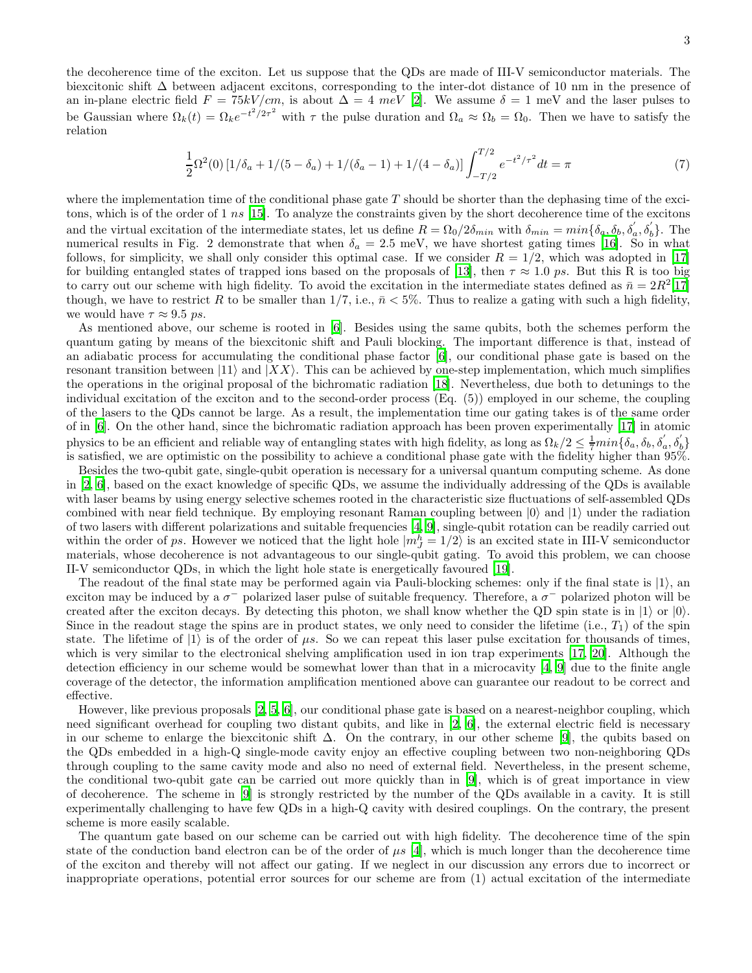the decoherence time of the exciton. Let us suppose that the QDs are made of III-V semiconductor materials. The biexcitonic shift ∆ between adjacent excitons, corresponding to the inter-dot distance of 10 nm in the presence of an in-plane electric field  $F = 75kV/cm$ , is about  $\Delta = 4$  meV [\[2\]](#page-3-1). We assume  $\delta = 1$  meV and the laser pulses to be Gaussian where  $\Omega_k(t) = \Omega_k e^{-t^2/2\tau^2}$  with  $\tau$  the pulse duration and  $\Omega_a \approx \Omega_b = \Omega_0$ . Then we have to satisfy the relation

$$
\frac{1}{2}\Omega^2(0)\left[1/\delta_a + 1/(5-\delta_a) + 1/(\delta_a - 1) + 1/(4-\delta_a)\right]\int_{-T/2}^{T/2} e^{-t^2/\tau^2}dt = \pi
$$
\n(7)

where the implementation time of the conditional phase gate  $T$  should be shorter than the dephasing time of the excitons, which is of the order of 1 ns  $[15]$  $[15]$ . To analyze the constraints given by the short decoherence time of the excitons and the virtual excitation of the intermediate states, let us define  $R = \Omega_0/2\delta_{min}$  with  $\delta_{min} = min\{\delta_a, \delta_b, \delta'_a, \delta'_b\}$ . The numerical results in Fig. 2 demonstrate that when  $\delta_a = 2.5$  meV, we have shortest gating times [\[16\]](#page-3-15). So in what follows, for simplicity, we shall only consider this optimal case. If we consider  $R = 1/2$ , which was adopted in [\[17](#page-3-16)] for building entangled states of trapped ions based on the proposals of [\[13\]](#page-3-12), then  $\tau \approx 1.0 \text{ ps}$ . But this R is too big to carry out our scheme with high fidelity. To avoid the excitation in the intermediate states defined as  $\bar{n} = 2R^2[17]$  $\bar{n} = 2R^2[17]$  $\bar{n} = 2R^2[17]$ though, we have to restrict R to be smaller than 1/7, i.e.,  $\bar{n}$  < 5%. Thus to realize a gating with such a high fidelity, we would have  $\tau \approx 9.5 \text{ ps}.$ 

As mentioned above, our scheme is rooted in [\[6\]](#page-3-5). Besides using the same qubits, both the schemes perform the quantum gating by means of the biexcitonic shift and Pauli blocking. The important difference is that, instead of an adiabatic process for accumulating the conditional phase factor [\[6](#page-3-5)], our conditional phase gate is based on the resonant transition between  $|11\rangle$  and  $|XX\rangle$ . This can be achieved by one-step implementation, which much simplifies the operations in the original proposal of the bichromatic radiation [\[18\]](#page-3-17). Nevertheless, due both to detunings to the individual excitation of the exciton and to the second-order process (Eq. (5)) employed in our scheme, the coupling of the lasers to the QDs cannot be large. As a result, the implementation time our gating takes is of the same order of in [\[6](#page-3-5)]. On the other hand, since the bichromatic radiation approach has been proven experimentally [\[17\]](#page-3-16) in atomic physics to be an efficient and reliable way of entangling states with high fidelity, as long as  $\Omega_k/2 \leq \frac{1}{7} min\{\delta_a, \delta_b, \delta'_a, \delta'_b\}$ is satisfied, we are optimistic on the possibility to achieve a conditional phase gate with the fidelity higher than 95%.

Besides the two-qubit gate, single-qubit operation is necessary for a universal quantum computing scheme. As done in [\[2](#page-3-1), [6\]](#page-3-5), based on the exact knowledge of specific QDs, we assume the individually addressing of the QDs is available with laser beams by using energy selective schemes rooted in the characteristic size fluctuations of self-assembled QDs combined with near field technique. By employing resonant Raman coupling between  $|0\rangle$  and  $|1\rangle$  under the radiation of two lasers with different polarizations and suitable frequencies [\[4](#page-3-3), [9\]](#page-3-8), single-qubit rotation can be readily carried out within the order of ps. However we noticed that the light hole  $|m_j^h = 1/2\rangle$  is an excited state in III-V semiconductor materials, whose decoherence is not advantageous to our single-qubit gating. To avoid this problem, we can choose II-V semiconductor QDs, in which the light hole state is energetically favoured [\[19\]](#page-3-18).

The readout of the final state may be performed again via Pauli-blocking schemes: only if the final state is  $|1\rangle$ , an exciton may be induced by a  $\sigma^-$  polarized laser pulse of suitable frequency. Therefore, a  $\sigma^-$  polarized photon will be created after the exciton decays. By detecting this photon, we shall know whether the QD spin state is in  $|1\rangle$  or  $|0\rangle$ . Since in the readout stage the spins are in product states, we only need to consider the lifetime (i.e.,  $T_1$ ) of the spin state. The lifetime of  $|1\rangle$  is of the order of  $\mu s$ . So we can repeat this laser pulse excitation for thousands of times, which is very similar to the electronical shelving amplification used in ion trap experiments [\[17,](#page-3-16) [20](#page-3-19)]. Although the detection efficiency in our scheme would be somewhat lower than that in a microcavity [\[4,](#page-3-3) [9\]](#page-3-8) due to the finite angle coverage of the detector, the information amplification mentioned above can guarantee our readout to be correct and effective.

However, like previous proposals [\[2](#page-3-1), [5,](#page-3-4) [6\]](#page-3-5), our conditional phase gate is based on a nearest-neighbor coupling, which need significant overhead for coupling two distant qubits, and like in [\[2](#page-3-1), [6\]](#page-3-5), the external electric field is necessary in our scheme to enlarge the biexcitonic shift  $\Delta$ . On the contrary, in our other scheme [\[9\]](#page-3-8), the qubits based on the QDs embedded in a high-Q single-mode cavity enjoy an effective coupling between two non-neighboring QDs through coupling to the same cavity mode and also no need of external field. Nevertheless, in the present scheme, the conditional two-qubit gate can be carried out more quickly than in [\[9\]](#page-3-8), which is of great importance in view of decoherence. The scheme in [\[9](#page-3-8)] is strongly restricted by the number of the QDs available in a cavity. It is still experimentally challenging to have few QDs in a high-Q cavity with desired couplings. On the contrary, the present scheme is more easily scalable.

The quantum gate based on our scheme can be carried out with high fidelity. The decoherence time of the spin state of the conduction band electron can be of the order of  $\mu s$  [\[4\]](#page-3-3), which is much longer than the decoherence time of the exciton and thereby will not affect our gating. If we neglect in our discussion any errors due to incorrect or inappropriate operations, potential error sources for our scheme are from (1) actual excitation of the intermediate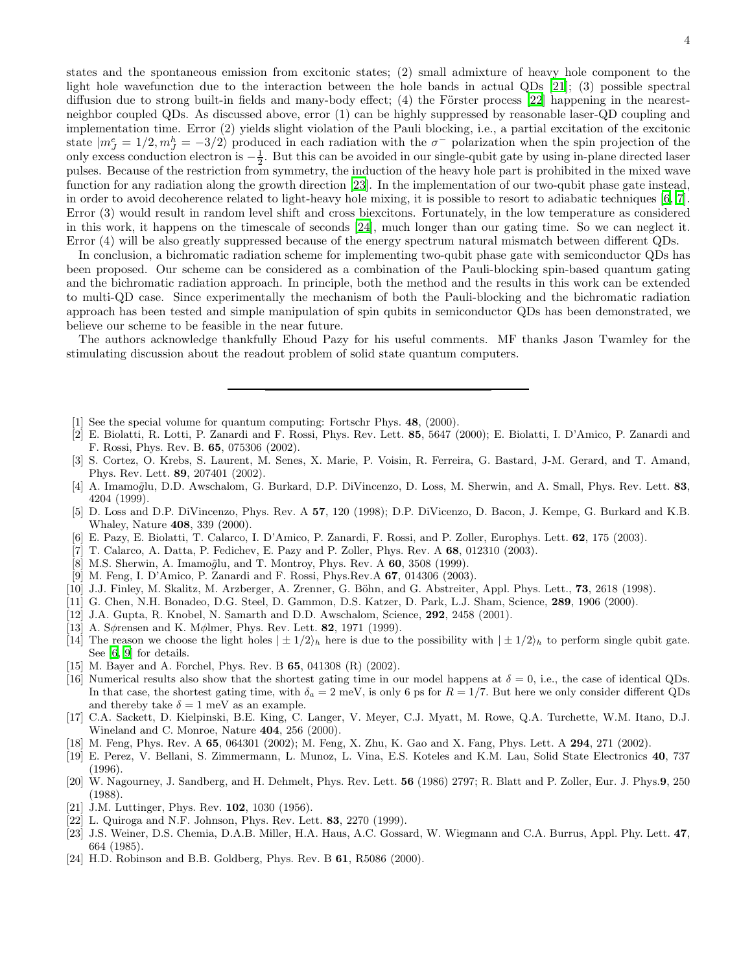states and the spontaneous emission from excitonic states; (2) small admixture of heavy hole component to the light hole wavefunction due to the interaction between the hole bands in actual QDs [\[21](#page-3-20)]; (3) possible spectral diffusion due to strong built-in fields and many-body effect;  $(4)$  the Förster process [\[22\]](#page-3-21) happening in the nearestneighbor coupled QDs. As discussed above, error (1) can be highly suppressed by reasonable laser-QD coupling and implementation time. Error (2) yields slight violation of the Pauli blocking, i.e., a partial excitation of the excitonic state  $|m_{J}^{e}=1/2, m_{J}^{h}=-3/2\rangle$  produced in each radiation with the  $\sigma^{-}$  polarization when the spin projection of the only excess conduction electron is  $-\frac{1}{2}$ . But this can be avoided in our single-qubit gate by using in-plane directed laser pulses. Because of the restriction from symmetry, the induction of the heavy hole part is prohibited in the mixed wave function for any radiation along the growth direction [\[23\]](#page-3-22). In the implementation of our two-qubit phase gate instead, in order to avoid decoherence related to light-heavy hole mixing, it is possible to resort to adiabatic techniques [\[6,](#page-3-5) [7\]](#page-3-6). Error (3) would result in random level shift and cross biexcitons. Fortunately, in the low temperature as considered in this work, it happens on the timescale of seconds [\[24](#page-3-23)], much longer than our gating time. So we can neglect it. Error (4) will be also greatly suppressed because of the energy spectrum natural mismatch between different QDs.

In conclusion, a bichromatic radiation scheme for implementing two-qubit phase gate with semiconductor QDs has been proposed. Our scheme can be considered as a combination of the Pauli-blocking spin-based quantum gating and the bichromatic radiation approach. In principle, both the method and the results in this work can be extended to multi-QD case. Since experimentally the mechanism of both the Pauli-blocking and the bichromatic radiation approach has been tested and simple manipulation of spin qubits in semiconductor QDs has been demonstrated, we believe our scheme to be feasible in the near future.

The authors acknowledge thankfully Ehoud Pazy for his useful comments. MF thanks Jason Twamley for the stimulating discussion about the readout problem of solid state quantum computers.

- <span id="page-3-0"></span>[1] See the special volume for quantum computing: Fortschr Phys. 48, (2000).
- <span id="page-3-1"></span>[2] E. Biolatti, R. Lotti, P. Zanardi and F. Rossi, Phys. Rev. Lett. 85, 5647 (2000); E. Biolatti, I. D'Amico, P. Zanardi and F. Rossi, Phys. Rev. B. 65, 075306 (2002).
- <span id="page-3-2"></span>[3] S. Cortez, O. Krebs, S. Laurent, M. Senes, X. Marie, P. Voisin, R. Ferreira, G. Bastard, J-M. Gerard, and T. Amand, Phys. Rev. Lett. 89, 207401 (2002).
- <span id="page-3-3"></span>[4] A. Imamoğlu, D.D. Awschalom, G. Burkard, D.P. DiVincenzo, D. Loss, M. Sherwin, and A. Small, Phys. Rev. Lett. 83, 4204 (1999).
- <span id="page-3-4"></span>[5] D. Loss and D.P. DiVincenzo, Phys. Rev. A 57, 120 (1998); D.P. DiVicenzo, D. Bacon, J. Kempe, G. Burkard and K.B. Whaley, Nature 408, 339 (2000).
- <span id="page-3-5"></span>[6] E. Pazy, E. Biolatti, T. Calarco, I. D'Amico, P. Zanardi, F. Rossi, and P. Zoller, Europhys. Lett. 62, 175 (2003).
- [7] T. Calarco, A. Datta, P. Fedichev, E. Pazy and P. Zoller, Phys. Rev. A 68, 012310 (2003).
- <span id="page-3-6"></span>[8] M.S. Sherwin, A. Imamo $\tilde{q}$ lu, and T. Montroy, Phys. Rev. A  $60$ , 3508 (1999).
- <span id="page-3-7"></span>[9] M. Feng, I. D'Amico, P. Zanardi and F. Rossi, Phys.Rev.A 67, 014306 (2003).
- <span id="page-3-9"></span><span id="page-3-8"></span>[10] J.J. Finley, M. Skalitz, M. Arzberger, A. Zrenner, G. Böhn, and G. Abstreiter, Appl. Phys. Lett., 73, 2618 (1998).
- <span id="page-3-10"></span>[11] G. Chen, N.H. Bonadeo, D.G. Steel, D. Gammon, D.S. Katzer, D. Park, L.J. Sham, Science, 289, 1906 (2000).
- <span id="page-3-11"></span>[12] J.A. Gupta, R. Knobel, N. Samarth and D.D. Awschalom, Science, 292, 2458 (2001).
- <span id="page-3-12"></span>[13] A. Sφrensen and K. Mφlmer, Phys. Rev. Lett. **82**, 1971 (1999).
- <span id="page-3-13"></span>[14] The reason we choose the light holes  $|\pm 1/2\rangle_h$  here is due to the possibility with  $|\pm 1/2\rangle_h$  to perform single qubit gate. See [\[6,](#page-3-5) [9](#page-3-8)] for details.
- <span id="page-3-14"></span>[15] M. Bayer and A. Forchel, Phys. Rev. B 65, 041308 (R) (2002).
- <span id="page-3-15"></span>[16] Numerical results also show that the shortest gating time in our model happens at  $\delta = 0$ , i.e., the case of identical QDs. In that case, the shortest gating time, with  $\delta_a = 2$  meV, is only 6 ps for  $R = 1/7$ . But here we only consider different QDs and thereby take  $\delta = 1$  meV as an example.
- <span id="page-3-16"></span>[17] C.A. Sackett, D. Kielpinski, B.E. King, C. Langer, V. Meyer, C.J. Myatt, M. Rowe, Q.A. Turchette, W.M. Itano, D.J. Wineland and C. Monroe, Nature 404, 256 (2000).
- [18] M. Feng, Phys. Rev. A 65, 064301 (2002); M. Feng, X. Zhu, K. Gao and X. Fang, Phys. Lett. A 294, 271 (2002).
- <span id="page-3-18"></span><span id="page-3-17"></span>[19] E. Perez, V. Bellani, S. Zimmermann, L. Munoz, L. Vina, E.S. Koteles and K.M. Lau, Solid State Electronics 40, 737 (1996).
- <span id="page-3-19"></span>[20] W. Nagourney, J. Sandberg, and H. Dehmelt, Phys. Rev. Lett. 56 (1986) 2797; R. Blatt and P. Zoller, Eur. J. Phys.9, 250 (1988).
- <span id="page-3-20"></span>[21] J.M. Luttinger, Phys. Rev. **102**, 1030 (1956).
- <span id="page-3-21"></span>[22] L. Quiroga and N.F. Johnson, Phys. Rev. Lett. 83, 2270 (1999).
- <span id="page-3-22"></span>[23] J.S. Weiner, D.S. Chemia, D.A.B. Miller, H.A. Haus, A.C. Gossard, W. Wiegmann and C.A. Burrus, Appl. Phy. Lett. 47, 664 (1985).
- <span id="page-3-23"></span>[24] H.D. Robinson and B.B. Goldberg, Phys. Rev. B 61, R5086 (2000).